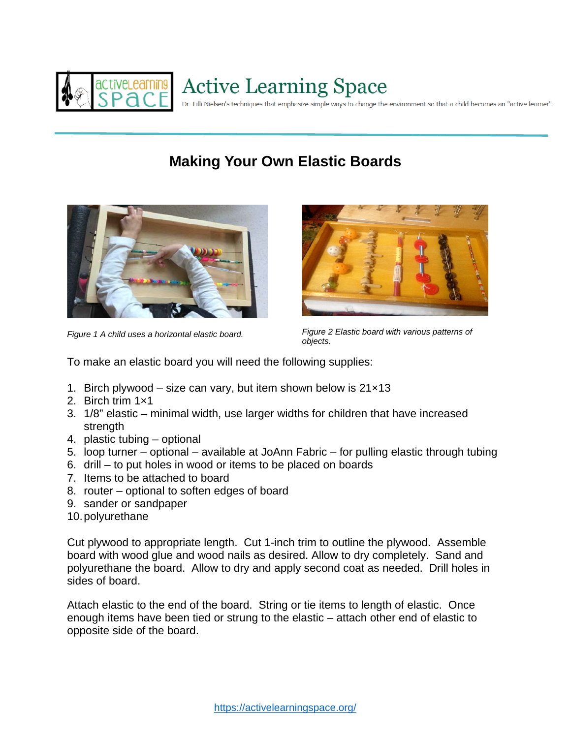

## **Making Your Own Elastic Boards**





*Figure 1 A child uses a horizontal elastic board. Figure 2 Elastic board with various patterns of objects.*

To make an elastic board you will need the following supplies:

- 1. Birch plywood size can vary, but item shown below is 21×13
- 2. Birch trim 1×1
- 3. 1/8" elastic minimal width, use larger widths for children that have increased strength
- 4. plastic tubing optional
- 5. loop turner optional available at JoAnn Fabric for pulling elastic through tubing
- 6. drill to put holes in wood or items to be placed on boards
- 7. Items to be attached to board
- 8. router optional to soften edges of board
- 9. sander or sandpaper
- 10.polyurethane

Cut plywood to appropriate length. Cut 1-inch trim to outline the plywood. Assemble board with wood glue and wood nails as desired. Allow to dry completely. Sand and polyurethane the board. Allow to dry and apply second coat as needed. Drill holes in sides of board.

Attach elastic to the end of the board. String or tie items to length of elastic. Once enough items have been tied or strung to the elastic – attach other end of elastic to opposite side of the board.